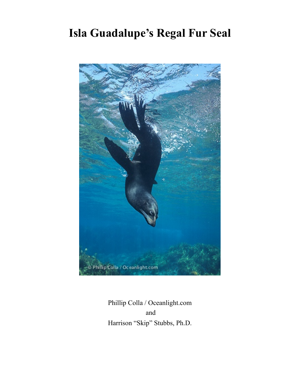## **Isla Guadalupe's Regal Fur Seal**



Phillip Colla / Oceanlight.com and Harrison "Skip" Stubbs, Ph.D.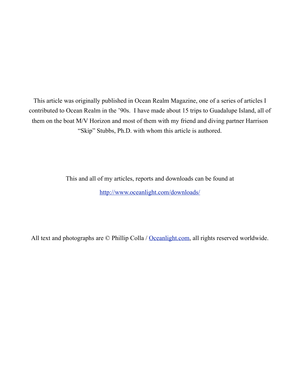This article was originally published in Ocean Realm Magazine, one of a series of articles I contributed to Ocean Realm in the '90s. I have made about 15 trips to Guadalupe Island, all of them on the boat M/V Horizon and most of them with my friend and diving partner Harrison "Skip" Stubbs, Ph.D. with whom this article is authored.

> This and all of my articles, reports and downloads can be found at <http://www.oceanlight.com/downloads/>

All text and photographs are © Phillip Colla / [Oceanlight.com,](http://www.oceanlight.com/) all rights reserved worldwide.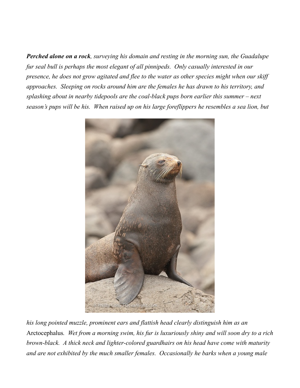*Perched alone on a rock, surveying his domain and resting in the morning sun, the Guadalupe fur seal bull is perhaps the most elegant of all pinnipeds. Only casually interested in our presence, he does not grow agitated and flee to the water as other species might when our skiff approaches. Sleeping on rocks around him are the females he has drawn to his territory, and splashing about in nearby tidepools are the coal-black pups born earlier this summer – next season's pups will be his. When raised up on his large foreflippers he resembles a sea lion, but* 



*his long pointed muzzle, prominent ears and flattish head clearly distinguish him as an*  Arctocephalus*. Wet from a morning swim, his fur is luxuriously shiny and will soon dry to a rich brown-black. A thick neck and lighter-colored guardhairs on his head have come with maturity and are not exhibited by the much smaller females. Occasionally he barks when a young male*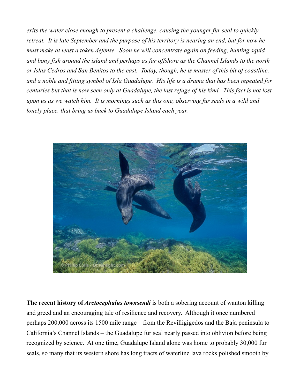*exits the water close enough to present a challenge, causing the younger fur seal to quickly retreat. It is late September and the purpose of his territory is nearing an end, but for now he must make at least a token defense. Soon he will concentrate again on feeding, hunting squid and bony fish around the island and perhaps as far offshore as the Channel Islands to the north or Islas Cedros and San Benitos to the east. Today, though, he is master of this bit of coastline, and a noble and fitting symbol of Isla Guadalupe. His life is a drama that has been repeated for centuries but that is now seen only at Guadalupe, the last refuge of his kind. This fact is not lost upon us as we watch him. It is mornings such as this one, observing fur seals in a wild and lonely place, that bring us back to Guadalupe Island each year.*



**The recent history of** *Arctocephalus townsendi* is both a sobering account of wanton killing and greed and an encouraging tale of resilience and recovery. Although it once numbered perhaps 200,000 across its 1500 mile range – from the Revilligigedos and the Baja peninsula to California's Channel Islands – the Guadalupe fur seal nearly passed into oblivion before being recognized by science. At one time, Guadalupe Island alone was home to probably 30,000 fur seals, so many that its western shore has long tracts of waterline lava rocks polished smooth by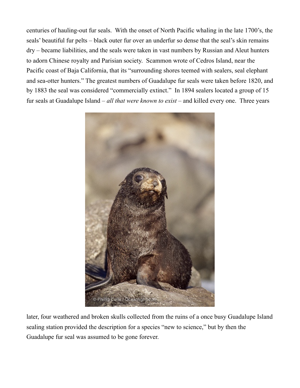centuries of hauling-out fur seals. With the onset of North Pacific whaling in the late 1700's, the seals' beautiful fur pelts – black outer fur over an underfur so dense that the seal's skin remains dry – became liabilities, and the seals were taken in vast numbers by Russian and Aleut hunters to adorn Chinese royalty and Parisian society. Scammon wrote of Cedros Island, near the Pacific coast of Baja California, that its "surrounding shores teemed with sealers, seal elephant and sea-otter hunters." The greatest numbers of Guadalupe fur seals were taken before 1820, and by 1883 the seal was considered "commercially extinct." In 1894 sealers located a group of 15 fur seals at Guadalupe Island – *all that were known to exist* – and killed every one. Three years



later, four weathered and broken skulls collected from the ruins of a once busy Guadalupe Island sealing station provided the description for a species "new to science," but by then the Guadalupe fur seal was assumed to be gone forever.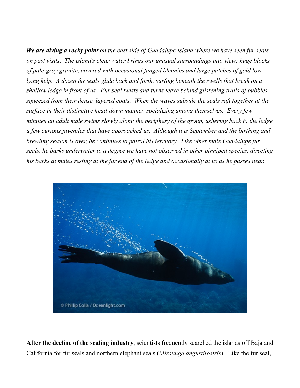*We are diving a rocky point on the east side of Guadalupe Island where we have seen fur seals on past visits. The island's clear water brings our unusual surroundings into view: huge blocks of pale-gray granite, covered with occasional fanged blennies and large patches of gold lowlying kelp. A dozen fur seals glide back and forth, surfing beneath the swells that break on a shallow ledge in front of us. Fur seal twists and turns leave behind glistening trails of bubbles squeezed from their dense, layered coats. When the waves subside the seals raft together at the surface in their distinctive head-down manner, socializing among themselves. Every few minutes an adult male swims slowly along the periphery of the group, ushering back to the ledge a few curious juveniles that have approached us. Although it is September and the birthing and breeding season is over, he continues to patrol his territory. Like other male Guadalupe fur seals, he barks underwater to a degree we have not observed in other pinniped species, directing his barks at males resting at the far end of the ledge and occasionally at us as he passes near.*



**After the decline of the sealing industry**, scientists frequently searched the islands off Baja and California for fur seals and northern elephant seals (*Mirounga angustirostris*). Like the fur seal,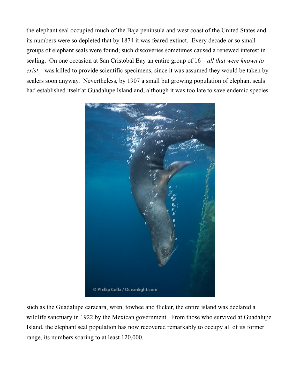the elephant seal occupied much of the Baja peninsula and west coast of the United States and its numbers were so depleted that by 1874 it was feared extinct. Every decade or so small groups of elephant seals were found; such discoveries sometimes caused a renewed interest in sealing. On one occasion at San Cristobal Bay an entire group of 16 – *all that were known to exist* – was killed to provide scientific specimens, since it was assumed they would be taken by sealers soon anyway. Nevertheless, by 1907 a small but growing population of elephant seals had established itself at Guadalupe Island and, although it was too late to save endemic species



such as the Guadalupe caracara, wren, towhee and flicker, the entire island was declared a wildlife sanctuary in 1922 by the Mexican government. From those who survived at Guadalupe Island, the elephant seal population has now recovered remarkably to occupy all of its former range, its numbers soaring to at least 120,000.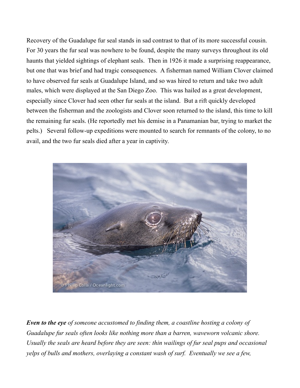Recovery of the Guadalupe fur seal stands in sad contrast to that of its more successful cousin. For 30 years the fur seal was nowhere to be found, despite the many surveys throughout its old haunts that yielded sightings of elephant seals. Then in 1926 it made a surprising reappearance, but one that was brief and had tragic consequences. A fisherman named William Clover claimed to have observed fur seals at Guadalupe Island, and so was hired to return and take two adult males, which were displayed at the San Diego Zoo. This was hailed as a great development, especially since Clover had seen other fur seals at the island. But a rift quickly developed between the fisherman and the zoologists and Clover soon returned to the island, this time to kill the remaining fur seals. (He reportedly met his demise in a Panamanian bar, trying to market the pelts.) Several follow-up expeditions were mounted to search for remnants of the colony, to no avail, and the two fur seals died after a year in captivity.



*Even to the eye of someone accustomed to finding them, a coastline hosting a colony of Guadalupe fur seals often looks like nothing more than a barren, waveworn volcanic shore. Usually the seals are heard before they are seen: thin wailings of fur seal pups and occasional yelps of bulls and mothers, overlaying a constant wash of surf. Eventually we see a few,*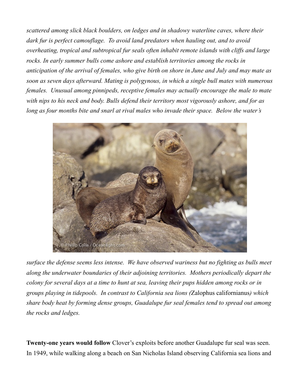*scattered among slick black boulders, on ledges and in shadowy waterline caves, where their dark fur is perfect camouflage. To avoid land predators when hauling out, and to avoid overheating, tropical and subtropical fur seals often inhabit remote islands with cliffs and large rocks. In early summer bulls come ashore and establish territories among the rocks in anticipation of the arrival of females, who give birth on shore in June and July and may mate as soon as seven days afterward. Mating is polygynous, in which a single bull mates with numerous females. Unusual among pinnipeds, receptive females may actually encourage the male to mate with nips to his neck and body. Bulls defend their territory most vigorously ashore, and for as long as four months bite and snarl at rival males who invade their space. Below the water's* 



*surface the defense seems less intense. We have observed wariness but no fighting as bulls meet along the underwater boundaries of their adjoining territories. Mothers periodically depart the colony for several days at a time to hunt at sea, leaving their pups hidden among rocks or in groups playing in tidepools. In contrast to California sea lions (*Zalophus californianus*) which share body heat by forming dense groups, Guadalupe fur seal females tend to spread out among the rocks and ledges.*

**Twenty-one years would follow** Clover's exploits before another Guadalupe fur seal was seen. In 1949, while walking along a beach on San Nicholas Island observing California sea lions and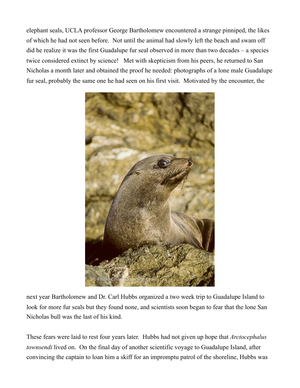elephant seals, UCLA professor George Bartholomew encountered a strange pinniped, the likes of which he had not seen before. Not until the animal had slowly left the beach and swam off did he realize it was the first Guadalupe fur seal observed in more than two decades – a species twice considered extinct by science! Met with skepticism from his peers, he returned to San Nicholas a month later and obtained the proof he needed: photographs of a lone male Guadalupe fur seal, probably the same one he had seen on his first visit. Motivated by the encounter, the



next year Bartholomew and Dr. Carl Hubbs organized a two week trip to Guadalupe Island to look for more fur seals but they found none, and scientists soon began to fear that the lone San Nicholas bull was the last of his kind.

These fears were laid to rest four years later. Hubbs had not given up hope that *Arctocephalus townsendi* lived on. On the final day of another scientific voyage to Guadalupe Island, after convincing the captain to loan him a skiff for an impromptu patrol of the shoreline, Hubbs was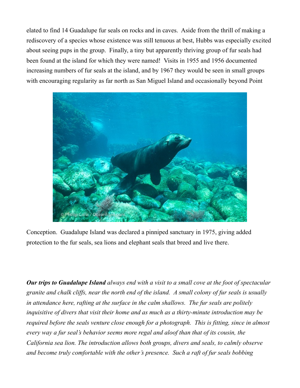elated to find 14 Guadalupe fur seals on rocks and in caves. Aside from the thrill of making a rediscovery of a species whose existence was still tenuous at best, Hubbs was especially excited about seeing pups in the group. Finally, a tiny but apparently thriving group of fur seals had been found at the island for which they were named! Visits in 1955 and 1956 documented increasing numbers of fur seals at the island, and by 1967 they would be seen in small groups with encouraging regularity as far north as San Miguel Island and occasionally beyond Point



Conception. Guadalupe Island was declared a pinniped sanctuary in 1975, giving added protection to the fur seals, sea lions and elephant seals that breed and live there.

*Our trips to Guadalupe Island always end with a visit to a small cove at the foot of spectacular granite and chalk cliffs, near the north end of the island. A small colony of fur seals is usually in attendance here, rafting at the surface in the calm shallows. The fur seals are politely inquisitive of divers that visit their home and as much as a thirty-minute introduction may be required before the seals venture close enough for a photograph. This is fitting, since in almost every way a fur seal's behavior seems more regal and aloof than that of its cousin, the California sea lion. The introduction allows both groups, divers and seals, to calmly observe and become truly comfortable with the other's presence. Such a raft of fur seals bobbing*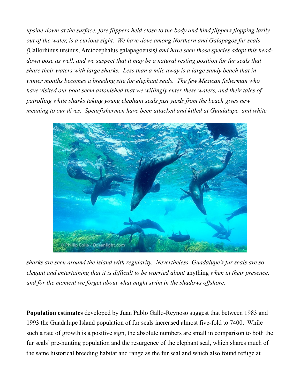*upside-down at the surface, fore flippers held close to the body and hind flippers flopping lazily out of the water, is a curious sight. We have dove among Northern and Galapagos fur seals (*Callorhinus ursinus, Arctocephalus galapagoensis*) and have seen those species adopt this headdown pose as well, and we suspect that it may be a natural resting position for fur seals that share their waters with large sharks. Less than a mile away is a large sandy beach that in winter months becomes a breeding site for elephant seals. The few Mexican fisherman who have visited our boat seem astonished that we willingly enter these waters, and their tales of patrolling white sharks taking young elephant seals just yards from the beach gives new meaning to our dives. Spearfishermen have been attacked and killed at Guadalupe, and white* 



*sharks are seen around the island with regularity. Nevertheless, Guadalupe's fur seals are so elegant and entertaining that it is difficult to be worried about* anything *when in their presence, and for the moment we forget about what might swim in the shadows offshore.*

**Population estimates** developed by Juan Pablo Gallo-Reynoso suggest that between 1983 and 1993 the Guadalupe Island population of fur seals increased almost five-fold to 7400. While such a rate of growth is a positive sign, the absolute numbers are small in comparison to both the fur seals' pre-hunting population and the resurgence of the elephant seal, which shares much of the same historical breeding habitat and range as the fur seal and which also found refuge at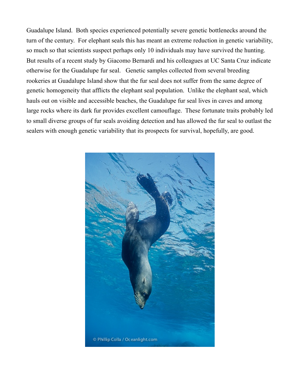Guadalupe Island. Both species experienced potentially severe genetic bottlenecks around the turn of the century. For elephant seals this has meant an extreme reduction in genetic variability, so much so that scientists suspect perhaps only 10 individuals may have survived the hunting. But results of a recent study by Giacomo Bernardi and his colleagues at UC Santa Cruz indicate otherwise for the Guadalupe fur seal. Genetic samples collected from several breeding rookeries at Guadalupe Island show that the fur seal does not suffer from the same degree of genetic homogeneity that afflicts the elephant seal population. Unlike the elephant seal, which hauls out on visible and accessible beaches, the Guadalupe fur seal lives in caves and among large rocks where its dark fur provides excellent camouflage. These fortunate traits probably led to small diverse groups of fur seals avoiding detection and has allowed the fur seal to outlast the sealers with enough genetic variability that its prospects for survival, hopefully, are good.